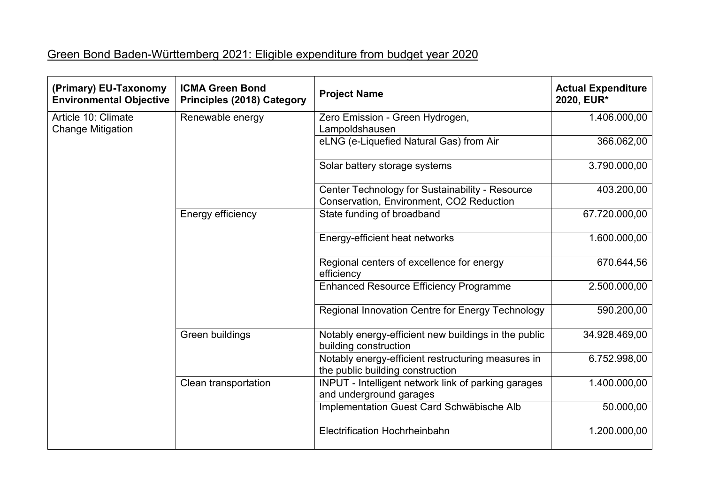## Green Bond Baden-Württemberg 2021: Eligible expenditure from budget year 2020

| (Primary) EU-Taxonomy<br><b>Environmental Objective</b> | <b>ICMA Green Bond</b><br><b>Principles (2018) Category</b> | <b>Project Name</b>                                                                         | <b>Actual Expenditure</b><br>2020, EUR* |
|---------------------------------------------------------|-------------------------------------------------------------|---------------------------------------------------------------------------------------------|-----------------------------------------|
| Article 10: Climate<br><b>Change Mitigation</b>         | Renewable energy                                            | Zero Emission - Green Hydrogen,<br>Lampoldshausen                                           | 1.406.000,00                            |
|                                                         |                                                             | eLNG (e-Liquefied Natural Gas) from Air                                                     | 366.062,00                              |
|                                                         |                                                             | Solar battery storage systems                                                               | 3.790.000,00                            |
|                                                         |                                                             | Center Technology for Sustainability - Resource<br>Conservation, Environment, CO2 Reduction | 403.200,00                              |
|                                                         | Energy efficiency                                           | State funding of broadband                                                                  | 67.720.000,00                           |
|                                                         |                                                             | Energy-efficient heat networks                                                              | 1.600.000,00                            |
|                                                         |                                                             | Regional centers of excellence for energy<br>efficiency                                     | 670.644,56                              |
|                                                         |                                                             | <b>Enhanced Resource Efficiency Programme</b>                                               | 2.500.000,00                            |
|                                                         |                                                             | Regional Innovation Centre for Energy Technology                                            | 590.200,00                              |
|                                                         | Green buildings                                             | Notably energy-efficient new buildings in the public<br>building construction               | 34.928.469,00                           |
|                                                         |                                                             | Notably energy-efficient restructuring measures in<br>the public building construction      | 6.752.998,00                            |
|                                                         | Clean transportation                                        | INPUT - Intelligent network link of parking garages<br>and underground garages              | 1.400.000,00                            |
|                                                         |                                                             | Implementation Guest Card Schwäbische Alb                                                   | 50.000,00                               |
|                                                         |                                                             | Electrification Hochrheinbahn                                                               | 1.200.000,00                            |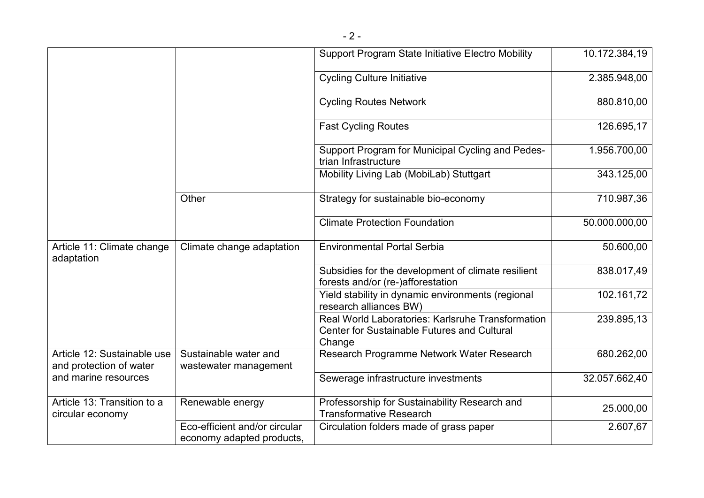|                                                        |                                                            | <b>Support Program State Initiative Electro Mobility</b>                                                          | 10.172.384,19 |
|--------------------------------------------------------|------------------------------------------------------------|-------------------------------------------------------------------------------------------------------------------|---------------|
|                                                        |                                                            | <b>Cycling Culture Initiative</b>                                                                                 | 2.385.948,00  |
|                                                        |                                                            | <b>Cycling Routes Network</b>                                                                                     | 880.810,00    |
|                                                        |                                                            | <b>Fast Cycling Routes</b>                                                                                        | 126.695,17    |
|                                                        |                                                            | Support Program for Municipal Cycling and Pedes-<br>trian Infrastructure                                          | 1.956.700,00  |
|                                                        |                                                            | Mobility Living Lab (MobiLab) Stuttgart                                                                           | 343.125,00    |
|                                                        | Other                                                      | Strategy for sustainable bio-economy                                                                              | 710.987,36    |
|                                                        |                                                            | <b>Climate Protection Foundation</b>                                                                              | 50.000.000,00 |
| Article 11: Climate change<br>adaptation               | Climate change adaptation                                  | <b>Environmental Portal Serbia</b>                                                                                | 50.600,00     |
|                                                        |                                                            | Subsidies for the development of climate resilient<br>forests and/or (re-)afforestation                           | 838.017,49    |
|                                                        |                                                            | Yield stability in dynamic environments (regional<br>research alliances BW)                                       | 102.161,72    |
|                                                        |                                                            | Real World Laboratories: Karlsruhe Transformation<br><b>Center for Sustainable Futures and Cultural</b><br>Change | 239.895,13    |
| Article 12: Sustainable use<br>and protection of water | Sustainable water and<br>wastewater management             | Research Programme Network Water Research                                                                         | 680.262,00    |
| and marine resources                                   |                                                            | Sewerage infrastructure investments                                                                               | 32.057.662,40 |
| Article 13: Transition to a<br>circular economy        | Renewable energy                                           | Professorship for Sustainability Research and<br><b>Transformative Research</b>                                   | 25.000,00     |
|                                                        | Eco-efficient and/or circular<br>economy adapted products, | Circulation folders made of grass paper                                                                           | 2.607,67      |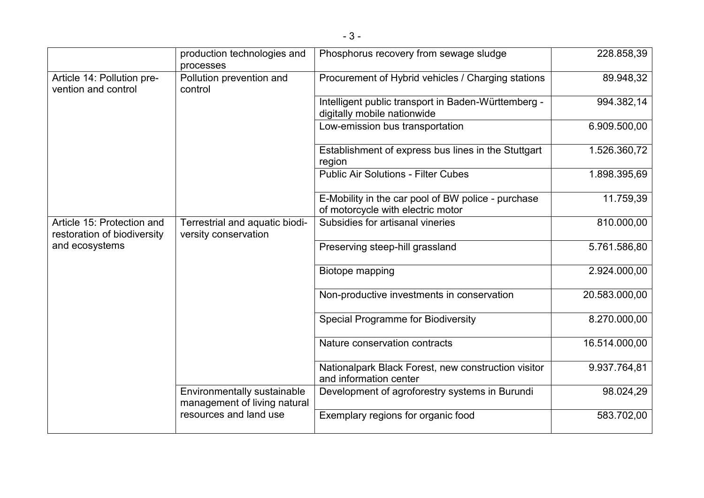|                                                           | production technologies and<br>processes                    | Phosphorus recovery from sewage sludge                                                  | 228.858,39    |
|-----------------------------------------------------------|-------------------------------------------------------------|-----------------------------------------------------------------------------------------|---------------|
| Article 14: Pollution pre-<br>vention and control         | Pollution prevention and<br>control                         | Procurement of Hybrid vehicles / Charging stations                                      | 89.948,32     |
|                                                           |                                                             | Intelligent public transport in Baden-Württemberg -<br>digitally mobile nationwide      | 994.382,14    |
|                                                           |                                                             | Low-emission bus transportation                                                         | 6.909.500,00  |
|                                                           |                                                             | Establishment of express bus lines in the Stuttgart<br>region                           | 1.526.360,72  |
|                                                           |                                                             | <b>Public Air Solutions - Filter Cubes</b>                                              | 1.898.395,69  |
|                                                           |                                                             | E-Mobility in the car pool of BW police - purchase<br>of motorcycle with electric motor | 11.759,39     |
| Article 15: Protection and<br>restoration of biodiversity | Terrestrial and aquatic biodi-<br>versity conservation      | Subsidies for artisanal vineries                                                        | 810.000,00    |
| and ecosystems                                            |                                                             | Preserving steep-hill grassland                                                         | 5.761.586,80  |
|                                                           |                                                             | Biotope mapping                                                                         | 2.924.000,00  |
|                                                           |                                                             | Non-productive investments in conservation                                              | 20.583.000,00 |
|                                                           |                                                             | <b>Special Programme for Biodiversity</b>                                               | 8.270.000,00  |
|                                                           |                                                             | Nature conservation contracts                                                           | 16.514.000,00 |
|                                                           |                                                             | Nationalpark Black Forest, new construction visitor<br>and information center           | 9.937.764,81  |
|                                                           | Environmentally sustainable<br>management of living natural | Development of agroforestry systems in Burundi                                          | 98.024,29     |
|                                                           | resources and land use                                      | Exemplary regions for organic food                                                      | 583.702,00    |